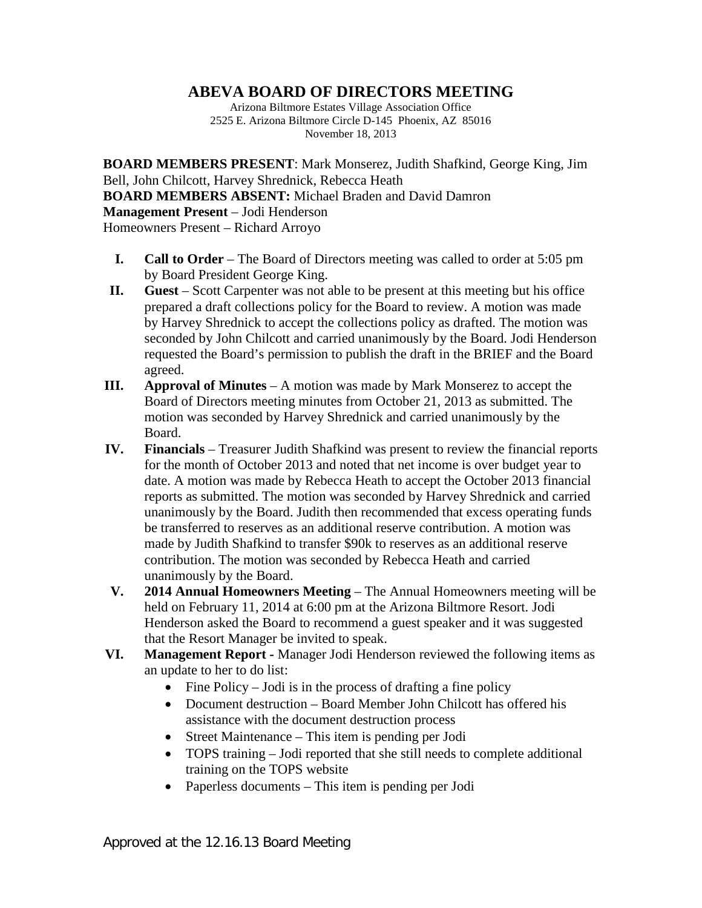## **ABEVA BOARD OF DIRECTORS MEETING**

Arizona Biltmore Estates Village Association Office 2525 E. Arizona Biltmore Circle D-145 Phoenix, AZ 85016 November 18, 2013

**BOARD MEMBERS PRESENT**: Mark Monserez, Judith Shafkind, George King, Jim Bell, John Chilcott, Harvey Shrednick, Rebecca Heath **BOARD MEMBERS ABSENT:** Michael Braden and David Damron **Management Present** – Jodi Henderson Homeowners Present – Richard Arroyo

- **I. Call to Order** The Board of Directors meeting was called to order at 5:05 pm by Board President George King.
- **II. Guest** Scott Carpenter was not able to be present at this meeting but his office prepared a draft collections policy for the Board to review. A motion was made by Harvey Shrednick to accept the collections policy as drafted. The motion was seconded by John Chilcott and carried unanimously by the Board. Jodi Henderson requested the Board's permission to publish the draft in the BRIEF and the Board agreed.
- **III. Approval of Minutes** A motion was made by Mark Monserez to accept the Board of Directors meeting minutes from October 21, 2013 as submitted. The motion was seconded by Harvey Shrednick and carried unanimously by the Board.
- **IV. Financials** Treasurer Judith Shafkind was present to review the financial reports for the month of October 2013 and noted that net income is over budget year to date. A motion was made by Rebecca Heath to accept the October 2013 financial reports as submitted. The motion was seconded by Harvey Shrednick and carried unanimously by the Board. Judith then recommended that excess operating funds be transferred to reserves as an additional reserve contribution. A motion was made by Judith Shafkind to transfer \$90k to reserves as an additional reserve contribution. The motion was seconded by Rebecca Heath and carried unanimously by the Board.
- **V. 2014 Annual Homeowners Meeting** The Annual Homeowners meeting will be held on February 11, 2014 at 6:00 pm at the Arizona Biltmore Resort. Jodi Henderson asked the Board to recommend a guest speaker and it was suggested that the Resort Manager be invited to speak.
- **VI. Management Report -** Manager Jodi Henderson reviewed the following items as an update to her to do list:
	- Fine Policy Jodi is in the process of drafting a fine policy
	- Document destruction Board Member John Chilcott has offered his assistance with the document destruction process
	- Street Maintenance This item is pending per Jodi
	- TOPS training Jodi reported that she still needs to complete additional training on the TOPS website
	- Paperless documents This item is pending per Jodi

Approved at the 12.16.13 Board Meeting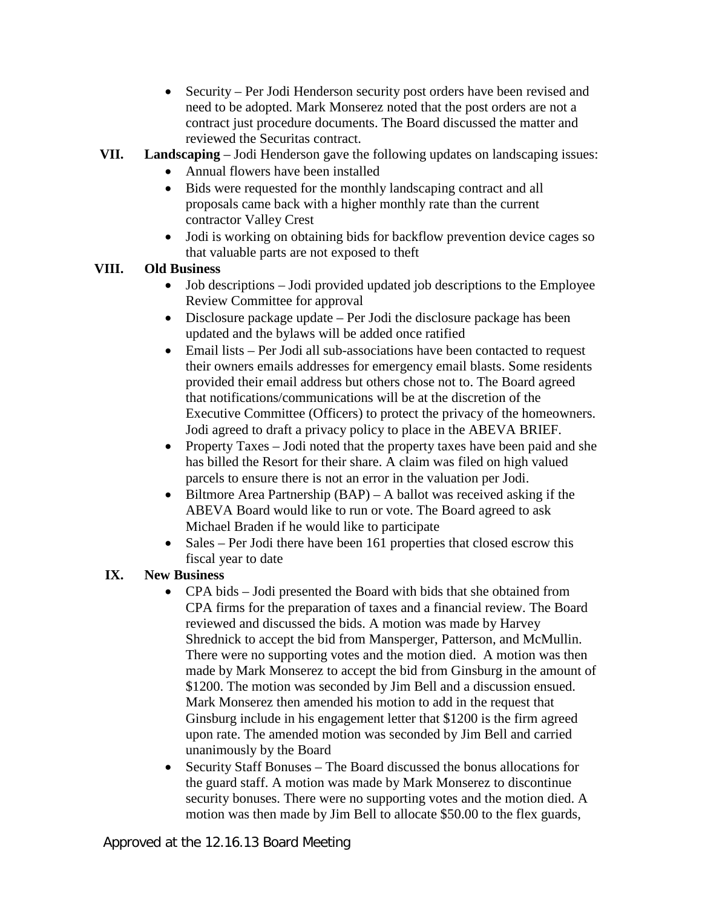• Security – Per Jodi Henderson security post orders have been revised and need to be adopted. Mark Monserez noted that the post orders are not a contract just procedure documents. The Board discussed the matter and reviewed the Securitas contract.

## **VII. Landscaping** – Jodi Henderson gave the following updates on landscaping issues:

- Annual flowers have been installed
- Bids were requested for the monthly landscaping contract and all proposals came back with a higher monthly rate than the current contractor Valley Crest
- Jodi is working on obtaining bids for backflow prevention device cages so that valuable parts are not exposed to theft

## **VIII. Old Business**

- Job descriptions Jodi provided updated job descriptions to the Employee Review Committee for approval
- Disclosure package update Per Jodi the disclosure package has been updated and the bylaws will be added once ratified
- Email lists Per Jodi all sub-associations have been contacted to request their owners emails addresses for emergency email blasts. Some residents provided their email address but others chose not to. The Board agreed that notifications/communications will be at the discretion of the Executive Committee (Officers) to protect the privacy of the homeowners. Jodi agreed to draft a privacy policy to place in the ABEVA BRIEF.
- Property Taxes Jodi noted that the property taxes have been paid and she has billed the Resort for their share. A claim was filed on high valued parcels to ensure there is not an error in the valuation per Jodi.
- Biltmore Area Partnership (BAP) A ballot was received asking if the ABEVA Board would like to run or vote. The Board agreed to ask Michael Braden if he would like to participate
- Sales Per Jodi there have been 161 properties that closed escrow this fiscal year to date

## **IX. New Business**

- CPA bids Jodi presented the Board with bids that she obtained from CPA firms for the preparation of taxes and a financial review. The Board reviewed and discussed the bids. A motion was made by Harvey Shrednick to accept the bid from Mansperger, Patterson, and McMullin. There were no supporting votes and the motion died. A motion was then made by Mark Monserez to accept the bid from Ginsburg in the amount of \$1200. The motion was seconded by Jim Bell and a discussion ensued. Mark Monserez then amended his motion to add in the request that Ginsburg include in his engagement letter that \$1200 is the firm agreed upon rate. The amended motion was seconded by Jim Bell and carried unanimously by the Board
- Security Staff Bonuses The Board discussed the bonus allocations for the guard staff. A motion was made by Mark Monserez to discontinue security bonuses. There were no supporting votes and the motion died. A motion was then made by Jim Bell to allocate \$50.00 to the flex guards,